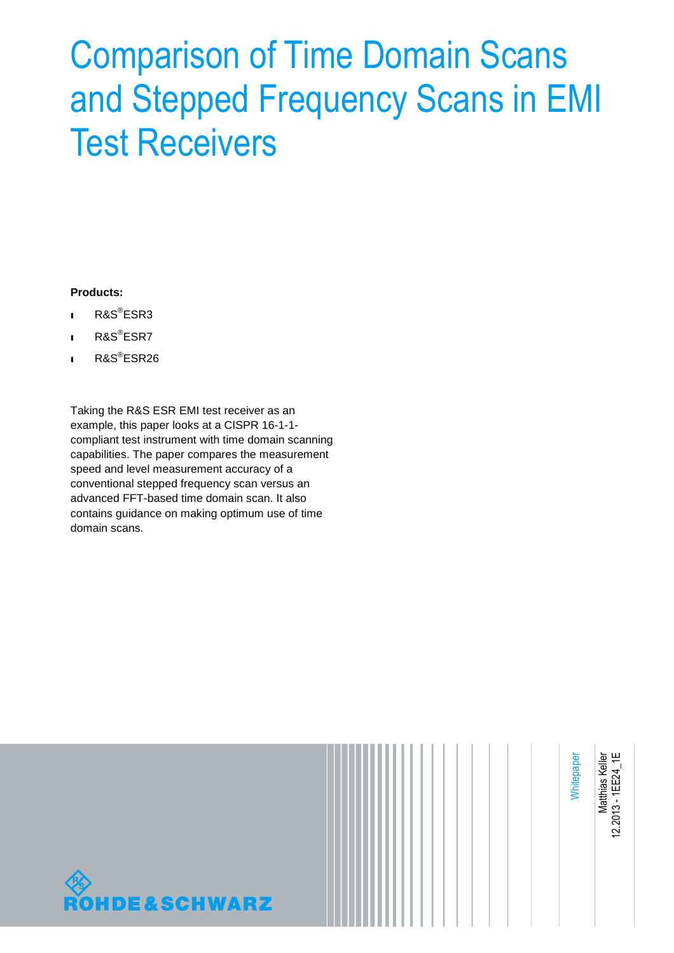# Comparison of Time Domain Scans and Stepped Frequency Scans in EMI Test Receivers

#### **Products:**

- ı R&S® ESR3
- ı R&S® ESR7
- ı R&S® ESR26

Taking the R&S ESR EMI test receiver as an example, this paper looks at a CISPR 16-1-1 compliant test instrument with time domain scanning capabilities. The paper compares the measurement speed and level measurement accuracy of a conventional stepped frequency scan versus an advanced FFT-based time domain scan. It also contains guidance on making optimum use of time domain scans.



**Whitepaper** 

Matthias Keller<br>2.2013 - 1EE24\_1E Matthias Keller 12.2013 - 1EE24\_1E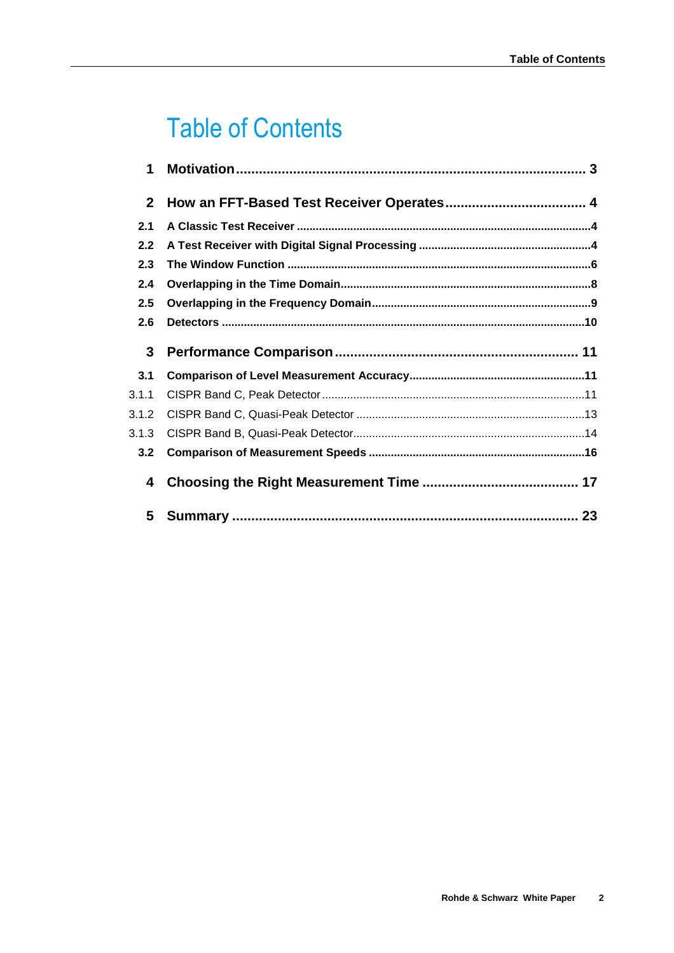# **Table of Contents**

| 1            |  |  |
|--------------|--|--|
| $\mathbf{2}$ |  |  |
| 2.1          |  |  |
| 2.2          |  |  |
| 2.3          |  |  |
| 2.4          |  |  |
| 2.5          |  |  |
| 2.6          |  |  |
| 3            |  |  |
| 3.1          |  |  |
| 3.1.1        |  |  |
| 3.1.2        |  |  |
| 3.1.3        |  |  |
|              |  |  |
| 3.2          |  |  |
| 4            |  |  |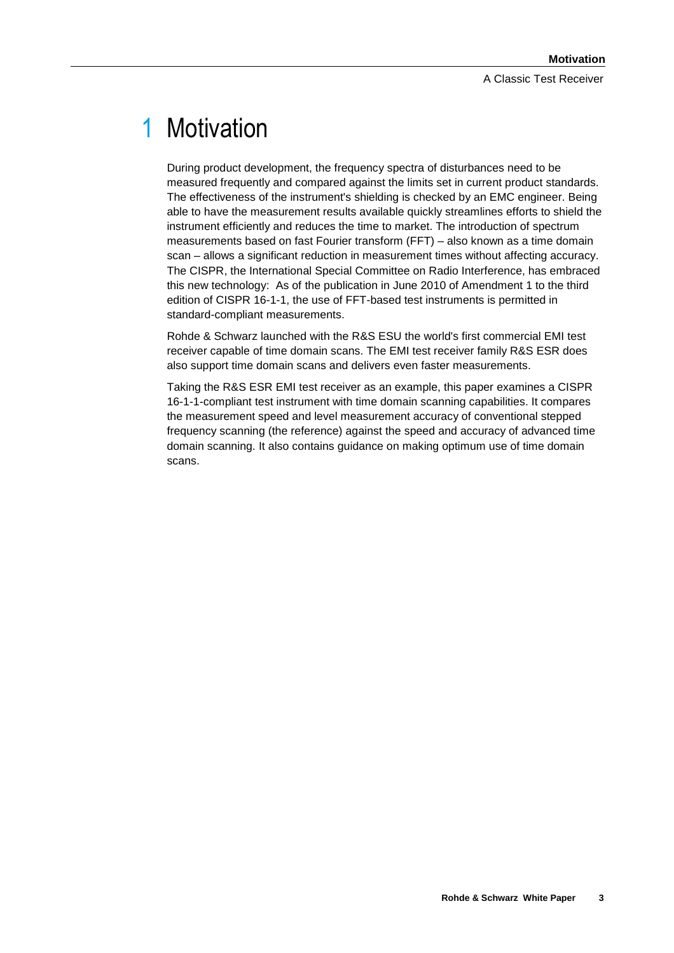# 1 Motivation

During product development, the frequency spectra of disturbances need to be measured frequently and compared against the limits set in current product standards. The effectiveness of the instrument's shielding is checked by an EMC engineer. Being able to have the measurement results available quickly streamlines efforts to shield the instrument efficiently and reduces the time to market. The introduction of spectrum measurements based on fast Fourier transform (FFT) – also known as a time domain scan – allows a significant reduction in measurement times without affecting accuracy. The CISPR, the International Special Committee on Radio Interference, has embraced this new technology: As of the publication in June 2010 of Amendment 1 to the third edition of CISPR 16-1-1, the use of FFT-based test instruments is permitted in standard-compliant measurements.

Rohde & Schwarz launched with the R&S ESU the world's first commercial EMI test receiver capable of time domain scans. The EMI test receiver family R&S ESR does also support time domain scans and delivers even faster measurements.

Taking the R&S ESR EMI test receiver as an example, this paper examines a CISPR 16-1-1-compliant test instrument with time domain scanning capabilities. It compares the measurement speed and level measurement accuracy of conventional stepped frequency scanning (the reference) against the speed and accuracy of advanced time domain scanning. It also contains guidance on making optimum use of time domain scans.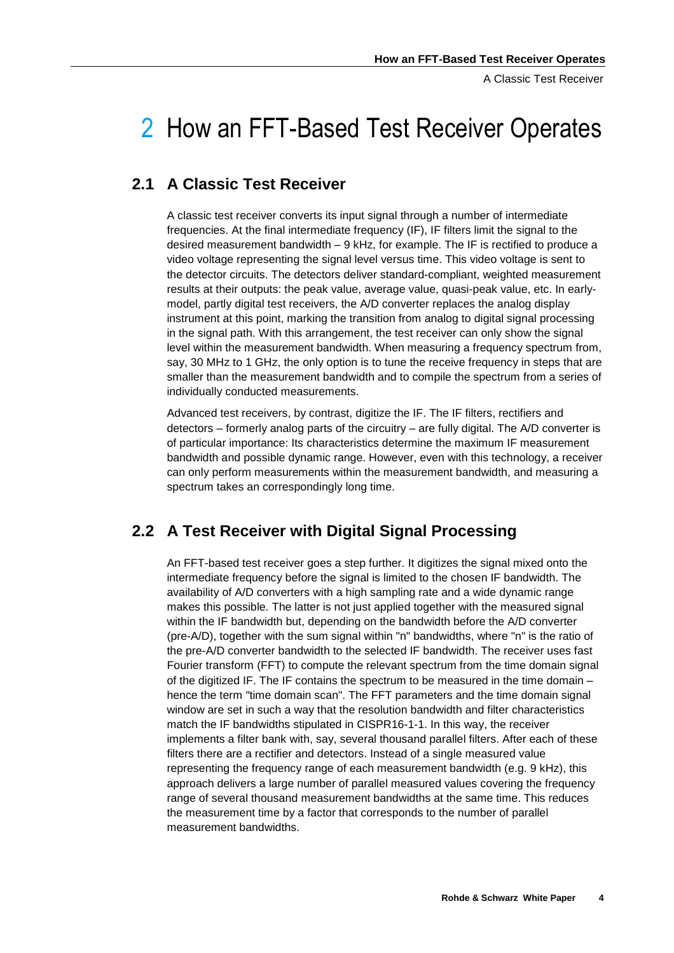A Classic Test Receiver

# 2 How an FFT-Based Test Receiver Operates

### **2.1 A Classic Test Receiver**

A classic test receiver converts its input signal through a number of intermediate frequencies. At the final intermediate frequency (IF), IF filters limit the signal to the desired measurement bandwidth  $-9$  kHz, for example. The IF is rectified to produce a video voltage representing the signal level versus time. This video voltage is sent to the detector circuits. The detectors deliver standard-compliant, weighted measurement results at their outputs: the peak value, average value, quasi-peak value, etc. In earlymodel, partly digital test receivers, the A/D converter replaces the analog display instrument at this point, marking the transition from analog to digital signal processing in the signal path. With this arrangement, the test receiver can only show the signal level within the measurement bandwidth. When measuring a frequency spectrum from, say, 30 MHz to 1 GHz, the only option is to tune the receive frequency in steps that are smaller than the measurement bandwidth and to compile the spectrum from a series of individually conducted measurements.

Advanced test receivers, by contrast, digitize the IF. The IF filters, rectifiers and  $d$ etectors – formerly analog parts of the circuitry – are fully digital. The  $A/D$  converter is of particular importance: Its characteristics determine the maximum IF measurement bandwidth and possible dynamic range. However, even with this technology, a receiver can only perform measurements within the measurement bandwidth, and measuring a spectrum takes an correspondingly long time.

## **2.2 A Test Receiver with Digital Signal Processing**

An FFT-based test receiver goes a step further. It digitizes the signal mixed onto the intermediate frequency before the signal is limited to the chosen IF bandwidth. The availability of A/D converters with a high sampling rate and a wide dynamic range makes this possible. The latter is not just applied together with the measured signal within the IF bandwidth but, depending on the bandwidth before the A/D converter (pre-A/D), together with the sum signal within "n" bandwidths, where "n" is the ratio of the pre-A/D converter bandwidth to the selected IF bandwidth. The receiver uses fast Fourier transform (FFT) to compute the relevant spectrum from the time domain signal of the digitized IF. The IF contains the spectrum to be measured in the time domain – hence the term "time domain scan". The FFT parameters and the time domain signal window are set in such a way that the resolution bandwidth and filter characteristics match the IF bandwidths stipulated in CISPR16-1-1. In this way, the receiver implements a filter bank with, say, several thousand parallel filters. After each of these filters there are a rectifier and detectors. Instead of a single measured value representing the frequency range of each measurement bandwidth (e.g. 9 kHz), this approach delivers a large number of parallel measured values covering the frequency range of several thousand measurement bandwidths at the same time. This reduces the measurement time by a factor that corresponds to the number of parallel measurement bandwidths.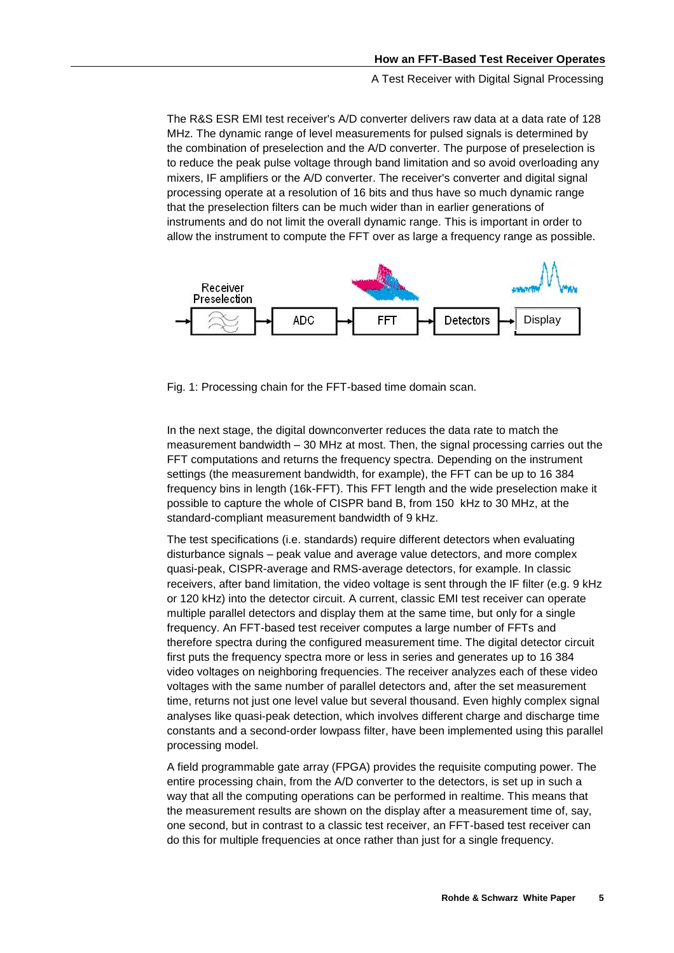A Test Receiver with Digital Signal Processing

The R&S ESR EMI test receiver's A/D converter delivers raw data at a data rate of 128 MHz. The dynamic range of level measurements for pulsed signals is determined by the combination of preselection and the A/D converter. The purpose of preselection is to reduce the peak pulse voltage through band limitation and so avoid overloading any mixers, IF amplifiers or the A/D converter. The receiver's converter and digital signal processing operate at a resolution of 16 bits and thus have so much dynamic range that the preselection filters can be much wider than in earlier generations of instruments and do not limit the overall dynamic range. This is important in order to allow the instrument to compute the FFT over as large a frequency range as possible.



Fig. 1: Processing chain for the FFT-based time domain scan.

In the next stage, the digital downconverter reduces the data rate to match the measurement bandwidth ‒ 30 MHz at most. Then, the signal processing carries out the FFT computations and returns the frequency spectra. Depending on the instrument settings (the measurement bandwidth, for example), the FFT can be up to 16 384 frequency bins in length (16k-FFT). This FFT length and the wide preselection make it possible to capture the whole of CISPR band B, from 150 kHz to 30 MHz, at the standard-compliant measurement bandwidth of 9 kHz.

The test specifications (i.e. standards) require different detectors when evaluating disturbance signals ‒ peak value and average value detectors, and more complex quasi-peak, CISPR-average and RMS-average detectors, for example. In classic receivers, after band limitation, the video voltage is sent through the IF filter (e.g. 9 kHz or 120 kHz) into the detector circuit. A current, classic EMI test receiver can operate multiple parallel detectors and display them at the same time, but only for a single frequency. An FFT-based test receiver computes a large number of FFTs and therefore spectra during the configured measurement time. The digital detector circuit first puts the frequency spectra more or less in series and generates up to 16 384 video voltages on neighboring frequencies. The receiver analyzes each of these video voltages with the same number of parallel detectors and, after the set measurement time, returns not just one level value but several thousand. Even highly complex signal analyses like quasi-peak detection, which involves different charge and discharge time constants and a second-order lowpass filter, have been implemented using this parallel processing model.

A field programmable gate array (FPGA) provides the requisite computing power. The entire processing chain, from the A/D converter to the detectors, is set up in such a way that all the computing operations can be performed in realtime. This means that the measurement results are shown on the display after a measurement time of, say, one second, but in contrast to a classic test receiver, an FFT-based test receiver can do this for multiple frequencies at once rather than just for a single frequency.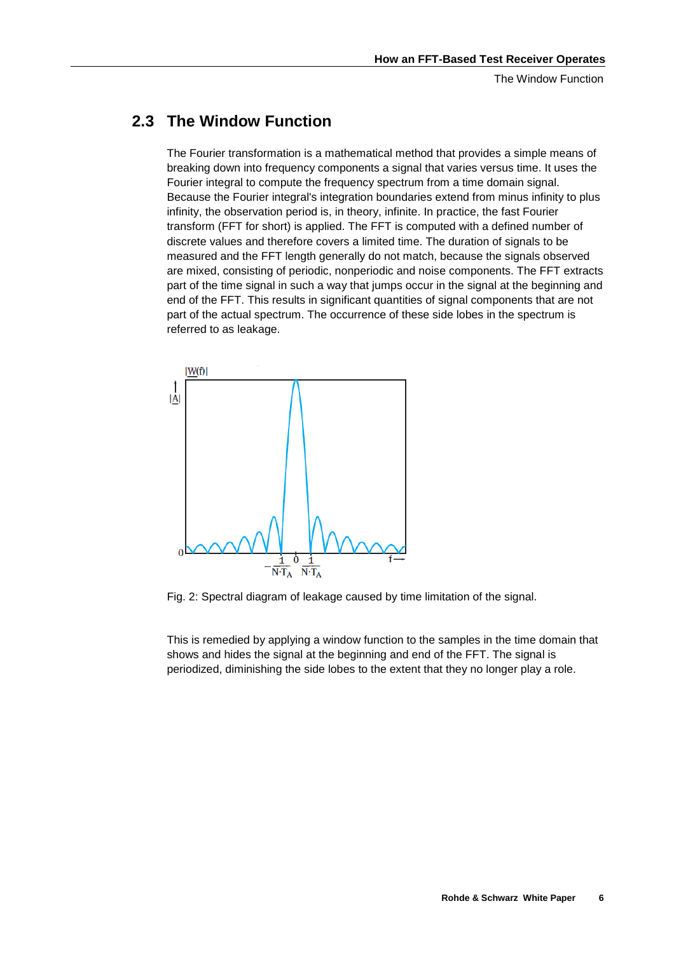The Window Function

### **2.3 The Window Function**

The Fourier transformation is a mathematical method that provides a simple means of breaking down into frequency components a signal that varies versus time. It uses the Fourier integral to compute the frequency spectrum from a time domain signal. Because the Fourier integral's integration boundaries extend from minus infinity to plus infinity, the observation period is, in theory, infinite. In practice, the fast Fourier transform (FFT for short) is applied. The FFT is computed with a defined number of discrete values and therefore covers a limited time. The duration of signals to be measured and the FFT length generally do not match, because the signals observed are mixed, consisting of periodic, nonperiodic and noise components. The FFT extracts part of the time signal in such a way that jumps occur in the signal at the beginning and end of the FFT. This results in significant quantities of signal components that are not part of the actual spectrum. The occurrence of these side lobes in the spectrum is referred to as leakage.



Fig. 2: Spectral diagram of leakage caused by time limitation of the signal.

This is remedied by applying a window function to the samples in the time domain that shows and hides the signal at the beginning and end of the FFT. The signal is periodized, diminishing the side lobes to the extent that they no longer play a role.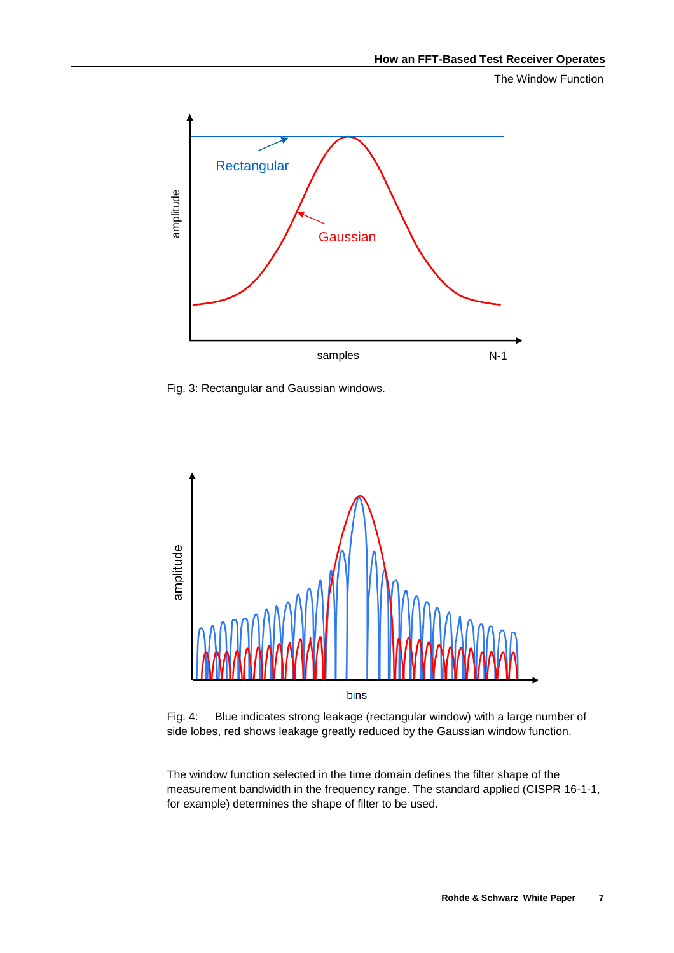The Window Function



Fig. 3: Rectangular and Gaussian windows.



Fig. 4: Blue indicates strong leakage (rectangular window) with a large number of side lobes, red shows leakage greatly reduced by the Gaussian window function.

The window function selected in the time domain defines the filter shape of the measurement bandwidth in the frequency range. The standard applied (CISPR 16-1-1, for example) determines the shape of filter to be used.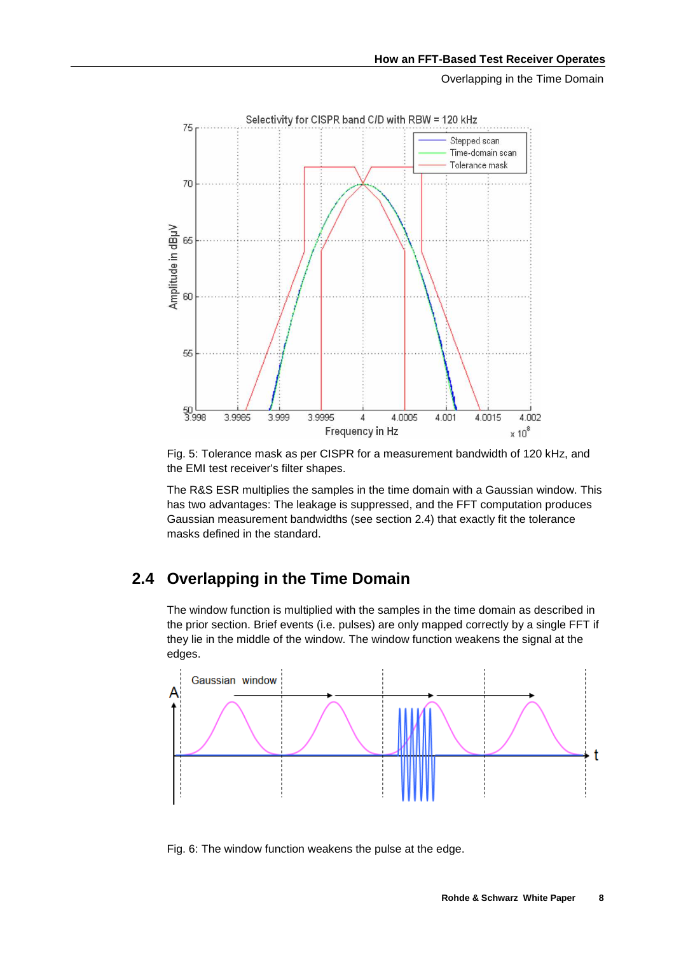Overlapping in the Time Domain



Fig. 5: Tolerance mask as per CISPR for a measurement bandwidth of 120 kHz, and the EMI test receiver's filter shapes.

The R&S ESR multiplies the samples in the time domain with a Gaussian window. This has two advantages: The leakage is suppressed, and the FFT computation produces Gaussian measurement bandwidths (see section 2.4) that exactly fit the tolerance masks defined in the standard.

# **2.4 Overlapping in the Time Domain**

The window function is multiplied with the samples in the time domain as described in the prior section. Brief events (i.e. pulses) are only mapped correctly by a single FFT if they lie in the middle of the window. The window function weakens the signal at the edges.



Fig. 6: The window function weakens the pulse at the edge.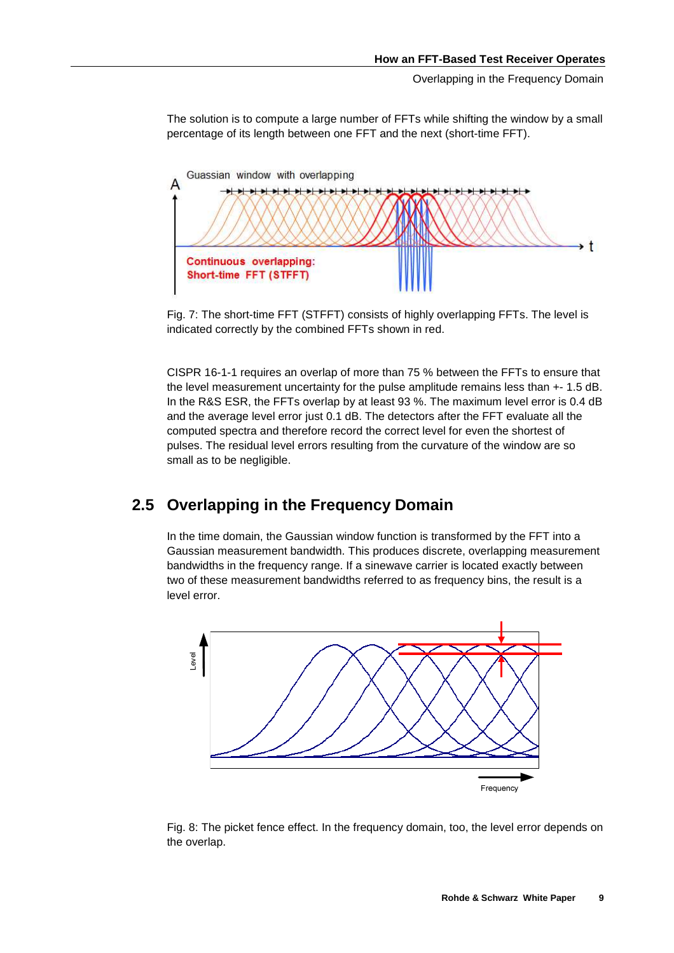Overlapping in the Frequency Domain

The solution is to compute a large number of FFTs while shifting the window by a small percentage of its length between one FFT and the next (short-time FFT).



Fig. 7: The short-time FFT (STFFT) consists of highly overlapping FFTs. The level is indicated correctly by the combined FFTs shown in red.

CISPR 16-1-1 requires an overlap of more than 75 % between the FFTs to ensure that the level measurement uncertainty for the pulse amplitude remains less than +- 1.5 dB. In the R&S ESR, the FFTs overlap by at least 93 %. The maximum level error is 0.4 dB and the average level error just 0.1 dB. The detectors after the FFT evaluate all the computed spectra and therefore record the correct level for even the shortest of pulses. The residual level errors resulting from the curvature of the window are so small as to be negligible.

### **2.5 Overlapping in the Frequency Domain**

In the time domain, the Gaussian window function is transformed by the FFT into a Gaussian measurement bandwidth. This produces discrete, overlapping measurement bandwidths in the frequency range. If a sinewave carrier is located exactly between two of these measurement bandwidths referred to as frequency bins, the result is a level error.



Fig. 8: The picket fence effect. In the frequency domain, too, the level error depends on the overlap.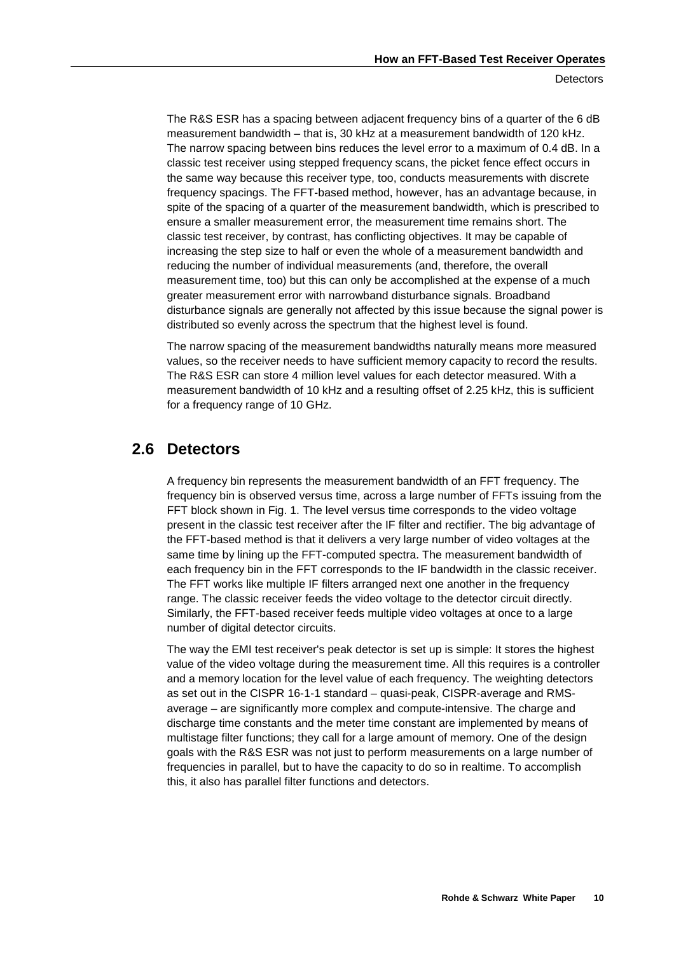The R&S ESR has a spacing between adjacent frequency bins of a quarter of the 6 dB measurement bandwidth  $-$  that is, 30 kHz at a measurement bandwidth of 120 kHz. The narrow spacing between bins reduces the level error to a maximum of 0.4 dB. In a classic test receiver using stepped frequency scans, the picket fence effect occurs in the same way because this receiver type, too, conducts measurements with discrete frequency spacings. The FFT-based method, however, has an advantage because, in spite of the spacing of a quarter of the measurement bandwidth, which is prescribed to ensure a smaller measurement error, the measurement time remains short. The classic test receiver, by contrast, has conflicting objectives. It may be capable of increasing the step size to half or even the whole of a measurement bandwidth and reducing the number of individual measurements (and, therefore, the overall measurement time, too) but this can only be accomplished at the expense of a much greater measurement error with narrowband disturbance signals. Broadband disturbance signals are generally not affected by this issue because the signal power is distributed so evenly across the spectrum that the highest level is found.

The narrow spacing of the measurement bandwidths naturally means more measured values, so the receiver needs to have sufficient memory capacity to record the results. The R&S ESR can store 4 million level values for each detector measured. With a measurement bandwidth of 10 kHz and a resulting offset of 2.25 kHz, this is sufficient for a frequency range of 10 GHz.

### **2.6 Detectors**

A frequency bin represents the measurement bandwidth of an FFT frequency. The frequency bin is observed versus time, across a large number of FFTs issuing from the FFT block shown in Fig. 1. The level versus time corresponds to the video voltage present in the classic test receiver after the IF filter and rectifier. The big advantage of the FFT-based method is that it delivers a very large number of video voltages at the same time by lining up the FFT-computed spectra. The measurement bandwidth of each frequency bin in the FFT corresponds to the IF bandwidth in the classic receiver. The FFT works like multiple IF filters arranged next one another in the frequency range. The classic receiver feeds the video voltage to the detector circuit directly. Similarly, the FFT-based receiver feeds multiple video voltages at once to a large number of digital detector circuits.

The way the EMI test receiver's peak detector is set up is simple: It stores the highest value of the video voltage during the measurement time. All this requires is a controller and a memory location for the level value of each frequency. The weighting detectors as set out in the CISPR 16-1-1 standard – quasi-peak, CISPR-average and RMSaverage – are significantly more complex and compute-intensive. The charge and discharge time constants and the meter time constant are implemented by means of multistage filter functions; they call for a large amount of memory. One of the design goals with the R&S ESR was not just to perform measurements on a large number of frequencies in parallel, but to have the capacity to do so in realtime. To accomplish this, it also has parallel filter functions and detectors.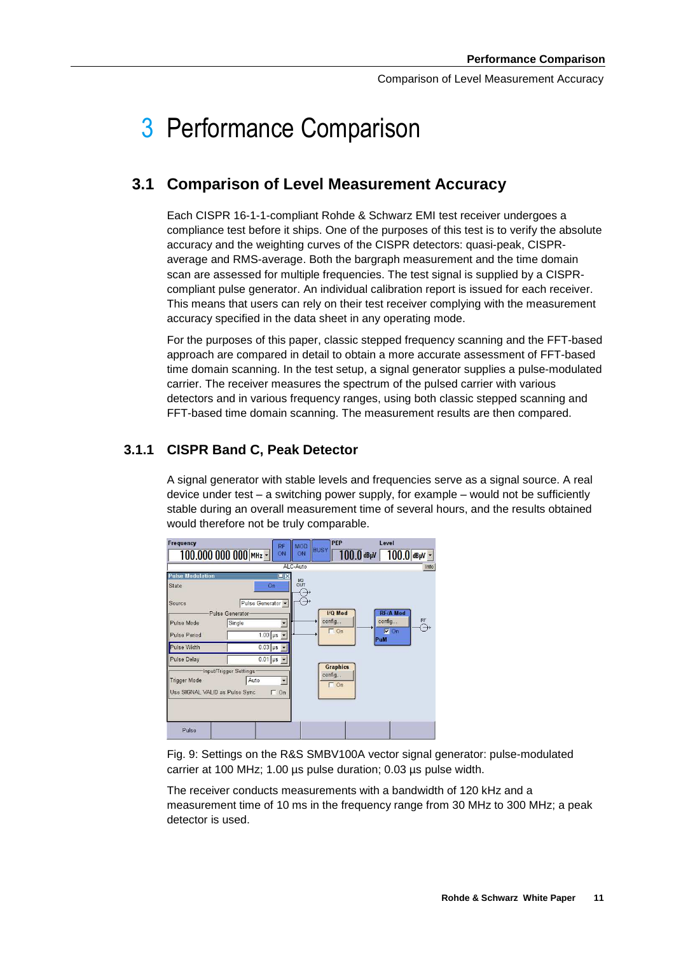# 3 Performance Comparison

### **3.1 Comparison of Level Measurement Accuracy**

Each CISPR 16-1-1-compliant Rohde & Schwarz EMI test receiver undergoes a compliance test before it ships. One of the purposes of this test is to verify the absolute accuracy and the weighting curves of the CISPR detectors: quasi-peak, CISPRaverage and RMS-average. Both the bargraph measurement and the time domain scan are assessed for multiple frequencies. The test signal is supplied by a CISPRcompliant pulse generator. An individual calibration report is issued for each receiver. This means that users can rely on their test receiver complying with the measurement accuracy specified in the data sheet in any operating mode.

For the purposes of this paper, classic stepped frequency scanning and the FFT-based approach are compared in detail to obtain a more accurate assessment of FFT-based time domain scanning. In the test setup, a signal generator supplies a pulse-modulated carrier. The receiver measures the spectrum of the pulsed carrier with various detectors and in various frequency ranges, using both classic stepped scanning and FFT-based time domain scanning. The measurement results are then compared.

#### **3.1.1 CISPR Band C, Peak Detector**

A signal generator with stable levels and frequencies serve as a signal source. A real device under test  $-$  a switching power supply, for example  $-$  would not be sufficiently stable during an overall measurement time of several hours, and the results obtained would therefore not be truly comparable.

| Frequency                                             | RF                                                               | <b>MOD</b>    | PEP                                      | Level                                     |      |
|-------------------------------------------------------|------------------------------------------------------------------|---------------|------------------------------------------|-------------------------------------------|------|
|                                                       | 100.000 000 000 MHz -<br>ON                                      | ON            | <b>BUSY</b>                              | $100.0$ dB $\mu$ V   $100.0$ dB $\mu$ V ~ |      |
|                                                       |                                                                  | ALC-Auto      |                                          |                                           | Info |
| <b>Pulse Modulation</b><br><b>State</b>               | $\square$<br>On                                                  | I/Q<br>OUT    |                                          |                                           |      |
| Source                                                | Pulse Generator -                                                | $\rightarrow$ |                                          |                                           |      |
|                                                       | Pulse Generator                                                  |               | I/Q Mod                                  | <b>RF/A Mod</b>                           |      |
| Pulse Mode                                            | Single                                                           |               | config                                   | config                                    | RF   |
| Pulse Period                                          | $1.00 \mu s$                                                     |               | $\Gamma$ On                              | $\nabla$ On<br>PuM                        |      |
| Pulse Width                                           | $0.03 \mu s$                                                     |               |                                          |                                           |      |
| <b>Pulse Delay</b>                                    | $0.01 \text{ }\mu\text{s}$ -                                     |               |                                          |                                           |      |
| <b>Trigger Mode</b><br>Use SIGNAL VALID as Pulse Sync | Input/Trigger Settings-<br>Auto<br>$\overline{ }$<br>$\Gamma$ On |               | <b>Graphics</b><br>config<br>$\Gamma$ On |                                           |      |
| Pulse                                                 |                                                                  |               |                                          |                                           |      |

Fig. 9: Settings on the R&S SMBV100A vector signal generator: pulse-modulated carrier at 100 MHz; 1.00 µs pulse duration; 0.03 µs pulse width.

The receiver conducts measurements with a bandwidth of 120 kHz and a measurement time of 10 ms in the frequency range from 30 MHz to 300 MHz; a peak detector is used.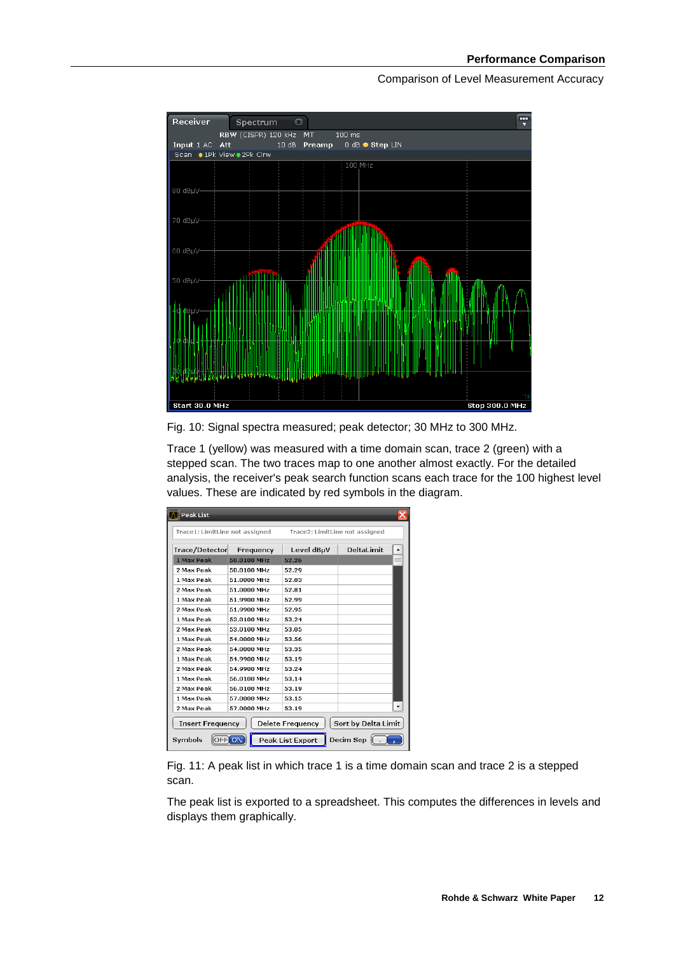

Fig. 10: Signal spectra measured; peak detector; 30 MHz to 300 MHz.

Trace 1 (yellow) was measured with a time domain scan, trace 2 (green) with a stepped scan. The two traces map to one another almost exactly. For the detailed analysis, the receiver's peak search function scans each trace for the 100 highest level values. These are indicated by red symbols in the diagram.

| <b>Peak List</b><br>Trace1: LimitLine not assigned<br>Trace2: LimitLine not assigned                                  |             |            |            |
|-----------------------------------------------------------------------------------------------------------------------|-------------|------------|------------|
| Trace/Detector                                                                                                        | Frequency   | Level dBµV | DeltaLimit |
| 1 Max Peak                                                                                                            | 50.0100 MHz | 52.26      | $=$        |
| 2 Max Peak                                                                                                            | 50.0100 MHz | 52.29      |            |
| 1 Max Peak                                                                                                            | 51.0000 MHz | 52.83      |            |
| 2 Max Peak                                                                                                            | 51.0000 MHz | 52.81      |            |
| 1 Max Peak                                                                                                            | 51.9900 MHz | 52.99      |            |
| 2 Max Peak                                                                                                            | 51.9900 MHz | 52.95      |            |
| 1 Max Peak                                                                                                            | 53.0100 MHz | 53.24      |            |
| 2 Max Peak                                                                                                            | 53.0100 MHz | 53.05      |            |
| 1 Max Peak                                                                                                            | 54.0000 MHz | 53.56      |            |
| 2 Max Peak                                                                                                            | 54.0000 MHz | 53.35      |            |
| 1 Max Peak                                                                                                            | 54.9900 MHz | 53.19      |            |
| 2 Max Peak                                                                                                            | 54.9900 MHz | 53.24      |            |
| 1 Max Peak                                                                                                            | 56.0100 MHz | 53.14      |            |
| 2 Max Peak                                                                                                            | 56.0100 MHz | 53.19      |            |
| 1 Max Peak                                                                                                            | 57.0000 MHz | 53.15      |            |
| 2 Max Peak                                                                                                            | 57.0000 MHz | 53.19      |            |
| Sort by Delta Limit<br><b>Delete Frequency</b><br><b>Insert Frequency</b><br>Decim Sep<br>Peak List Export<br>Symbols |             |            |            |

Fig. 11: A peak list in which trace 1 is a time domain scan and trace 2 is a stepped scan.

The peak list is exported to a spreadsheet. This computes the differences in levels and displays them graphically.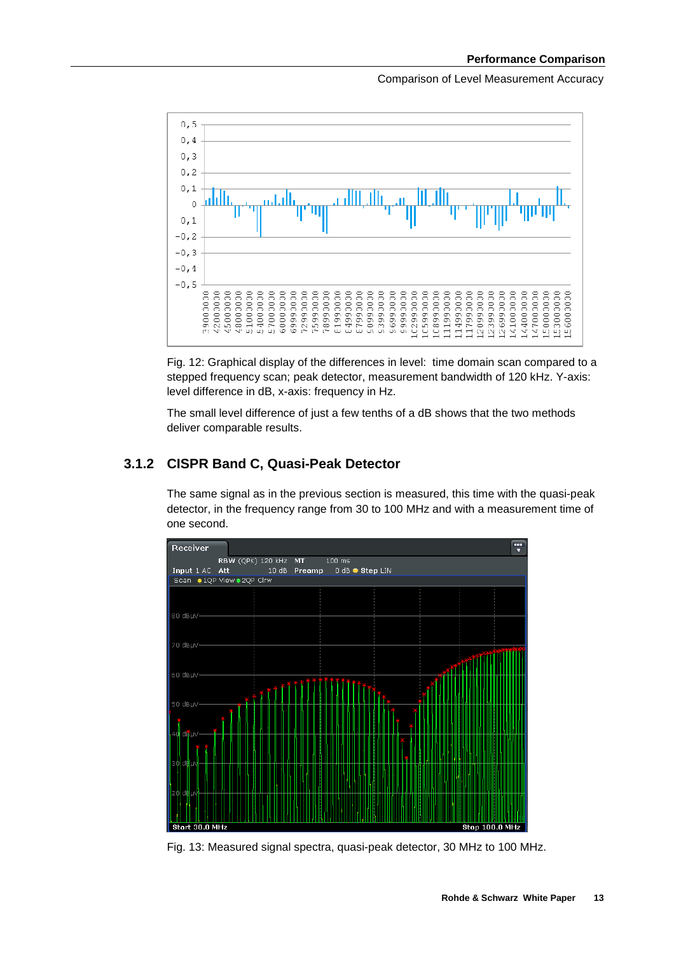

Fig. 12: Graphical display of the differences in level: time domain scan compared to a stepped frequency scan; peak detector, measurement bandwidth of 120 kHz. Y-axis: level difference in dB, x-axis: frequency in Hz.

The small level difference of just a few tenths of a dB shows that the two methods deliver comparable results.

#### **3.1.2 CISPR Band C, Quasi-Peak Detector**

The same signal as in the previous section is measured, this time with the quasi-peak detector, in the frequency range from 30 to 100 MHz and with a measurement time of one second.



Fig. 13: Measured signal spectra, quasi-peak detector, 30 MHz to 100 MHz.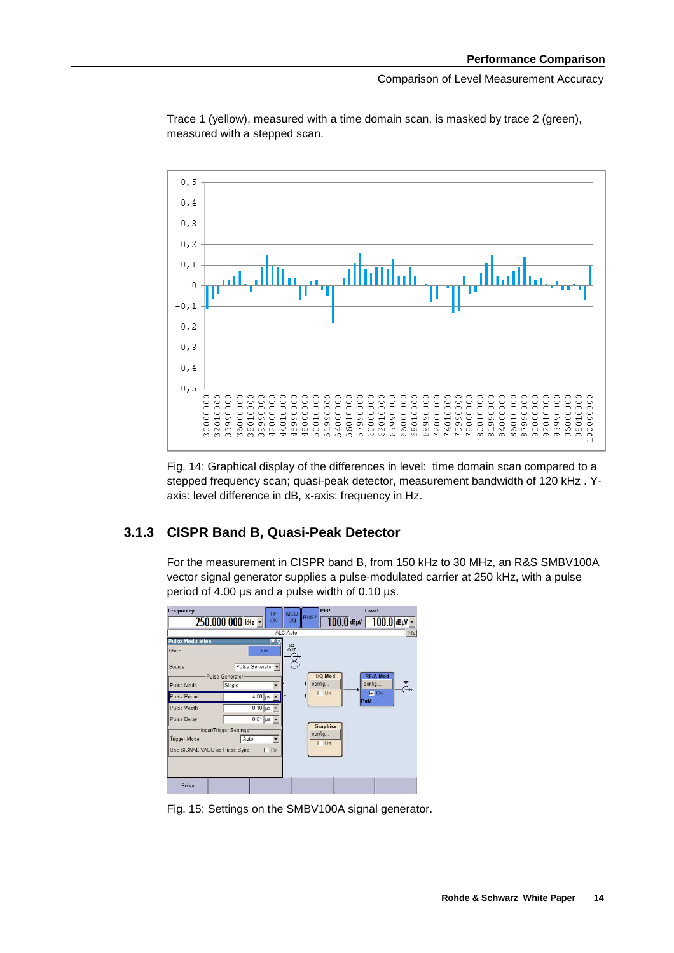

Trace 1 (yellow), measured with a time domain scan, is masked by trace 2 (green), measured with a stepped scan.

Fig. 14: Graphical display of the differences in level: time domain scan compared to a stepped frequency scan; quasi-peak detector, measurement bandwidth of 120 kHz . Yaxis: level difference in dB, x-axis: frequency in Hz.

#### **3.1.3 CISPR Band B, Quasi-Peak Detector**

For the measurement in CISPR band B, from 150 kHz to 30 MHz, an R&S SMBV100A vector signal generator supplies a pulse-modulated carrier at 250 kHz, with a pulse period of 4.00 µs and a pulse width of 0.10 µs.



Fig. 15: Settings on the SMBV100A signal generator.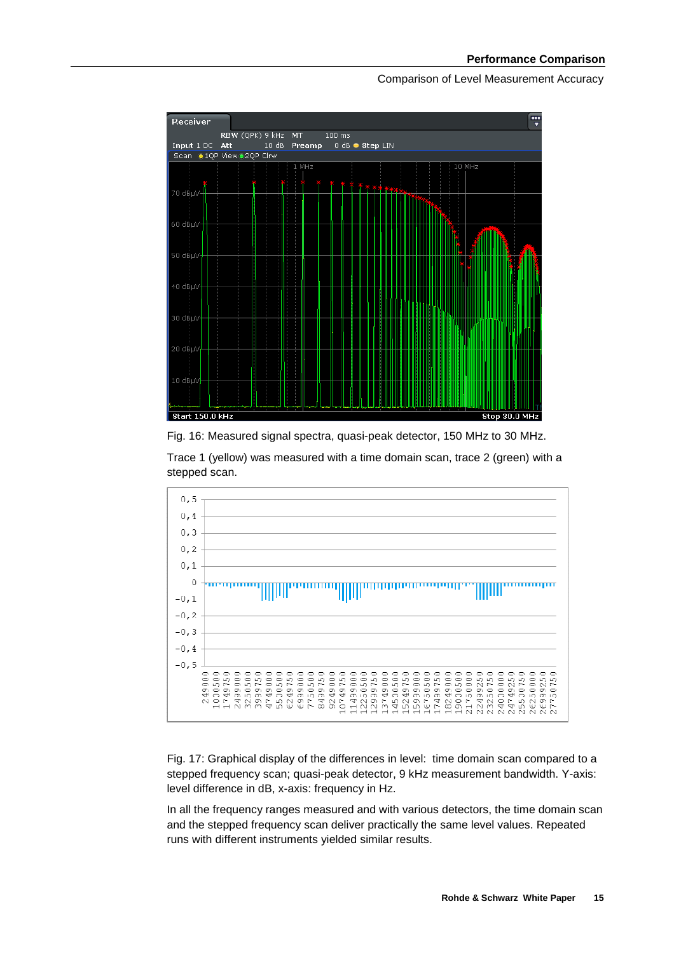

Fig. 16: Measured signal spectra, quasi-peak detector, 150 MHz to 30 MHz.

Trace 1 (yellow) was measured with a time domain scan, trace 2 (green) with a stepped scan.



Fig. 17: Graphical display of the differences in level: time domain scan compared to a stepped frequency scan; quasi-peak detector, 9 kHz measurement bandwidth. Y-axis: level difference in dB, x-axis: frequency in Hz.

In all the frequency ranges measured and with various detectors, the time domain scan and the stepped frequency scan deliver practically the same level values. Repeated runs with different instruments yielded similar results.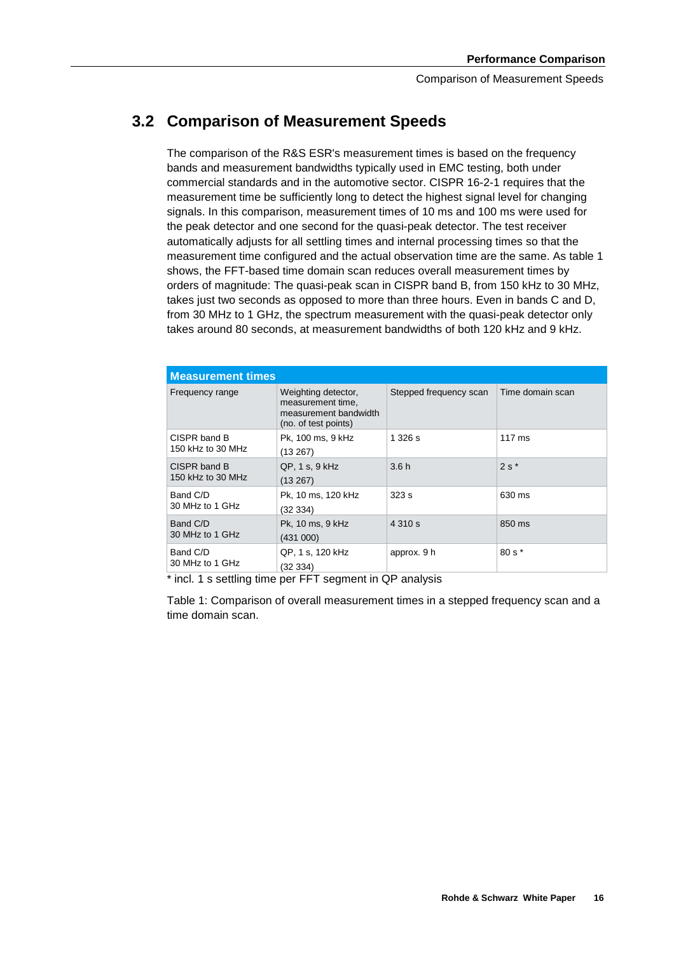# **3.2 Comparison of Measurement Speeds**

The comparison of the R&S ESR's measurement times is based on the frequency bands and measurement bandwidths typically used in EMC testing, both under commercial standards and in the automotive sector. CISPR 16-2-1 requires that the measurement time be sufficiently long to detect the highest signal level for changing signals. In this comparison, measurement times of 10 ms and 100 ms were used for the peak detector and one second for the quasi-peak detector. The test receiver automatically adjusts for all settling times and internal processing times so that the measurement time configured and the actual observation time are the same. As table 1 shows, the FFT-based time domain scan reduces overall measurement times by orders of magnitude: The quasi-peak scan in CISPR band B, from 150 kHz to 30 MHz, takes just two seconds as opposed to more than three hours. Even in bands C and D, from 30 MHz to 1 GHz, the spectrum measurement with the quasi-peak detector only takes around 80 seconds, at measurement bandwidths of both 120 kHz and 9 kHz.

| <b>Measurement times</b>          |                                                                                           |                        |                  |
|-----------------------------------|-------------------------------------------------------------------------------------------|------------------------|------------------|
| Frequency range                   | Weighting detector,<br>measurement time.<br>measurement bandwidth<br>(no. of test points) | Stepped frequency scan | Time domain scan |
| CISPR band B<br>150 kHz to 30 MHz | Pk, 100 ms, 9 kHz<br>(13 267)                                                             | 1.326 s                | $117 \text{ ms}$ |
| CISPR band B<br>150 kHz to 30 MHz | QP, 1 s, 9 kHz<br>(13 267)                                                                | 3.6h                   | $2s*$            |
| Band C/D<br>30 MHz to 1 GHz       | Pk, 10 ms, 120 kHz<br>(32334)                                                             | 323s                   | 630 ms           |
| Band C/D<br>30 MHz to 1 GHz       | Pk, 10 ms, 9 kHz<br>(431 000)                                                             | 4 3 1 0 s              | 850 ms           |
| Band C/D<br>30 MHz to 1 GHz       | QP, 1 s, 120 kHz<br>(32 334)                                                              | approx. 9 h            | 80 s *           |

\* incl. 1 s settling time per FFT segment in QP analysis

Table 1: Comparison of overall measurement times in a stepped frequency scan and a time domain scan.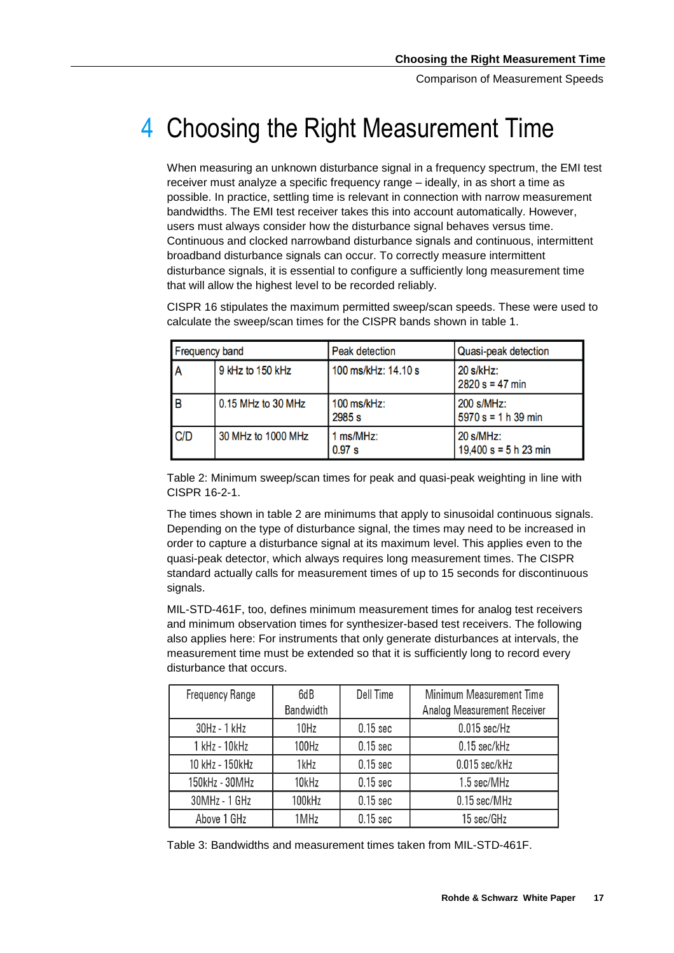# 4 Choosing the Right Measurement Time

When measuring an unknown disturbance signal in a frequency spectrum, the EMI test receiver must analyze a specific frequency range – ideally, in as short a time as possible. In practice, settling time is relevant in connection with narrow measurement bandwidths. The EMI test receiver takes this into account automatically. However, users must always consider how the disturbance signal behaves versus time. Continuous and clocked narrowband disturbance signals and continuous, intermittent broadband disturbance signals can occur. To correctly measure intermittent disturbance signals, it is essential to configure a sufficiently long measurement time that will allow the highest level to be recorded reliably.

CISPR 16 stipulates the maximum permitted sweep/scan speeds. These were used to calculate the sweep/scan times for the CISPR bands shown in table 1.

| <b>Frequency band</b> |                    | Peak detection          | Quasi-peak detection                    |  |
|-----------------------|--------------------|-------------------------|-----------------------------------------|--|
|                       | 9 kHz to 150 kHz   | 100 ms/kHz: 14.10 s     | 20 s/kHz:<br>$2820 s = 47 min$          |  |
| IΒ                    | 0.15 MHz to 30 MHz | $100$ ms/kHz:<br>2985 s | 200 s/MHz:<br>$5970 s = 1 h 39 min$     |  |
| C/D                   | 30 MHz to 1000 MHz | 1 ms/MHz:<br>0.97 s     | $20 s/MHz$ :<br>19,400 s = $5 h 23 min$ |  |

Table 2: Minimum sweep/scan times for peak and quasi-peak weighting in line with CISPR 16-2-1.

The times shown in table 2 are minimums that apply to sinusoidal continuous signals. Depending on the type of disturbance signal, the times may need to be increased in order to capture a disturbance signal at its maximum level. This applies even to the quasi-peak detector, which always requires long measurement times. The CISPR standard actually calls for measurement times of up to 15 seconds for discontinuous signals.

MIL-STD-461F, too, defines minimum measurement times for analog test receivers and minimum observation times for synthesizer-based test receivers. The following also applies here: For instruments that only generate disturbances at intervals, the measurement time must be extended so that it is sufficiently long to record every disturbance that occurs.

| <b>Frequency Range</b> | 6dB<br><b>Bandwidth</b> | Dell Time  | Minimum Measurement Time<br><b>Analog Measurement Receiver</b> |
|------------------------|-------------------------|------------|----------------------------------------------------------------|
| 30Hz - 1 kHz           | 10Hz                    | $0.15$ sec | $0.015$ sec/Hz                                                 |
| 1 kHz - 10 kHz         | 100Hz                   | $0.15$ sec | $0.15$ sec/kHz                                                 |
| 10 kHz - 150 kHz       | 1kHz                    | $0.15$ sec | $0.015$ sec/kHz                                                |
| 150kHz - 30MHz         | 10kHz                   | $0.15$ sec | 1.5 sec/MHz                                                    |
| 30MHz - 1 GHz          | 100kHz                  | $0.15$ sec | 0.15 sec/MHz                                                   |
| Above 1 GHz            | 1MHz                    | $0.15$ sec | 15 sec/GHz                                                     |

Table 3: Bandwidths and measurement times taken from MIL-STD-461F.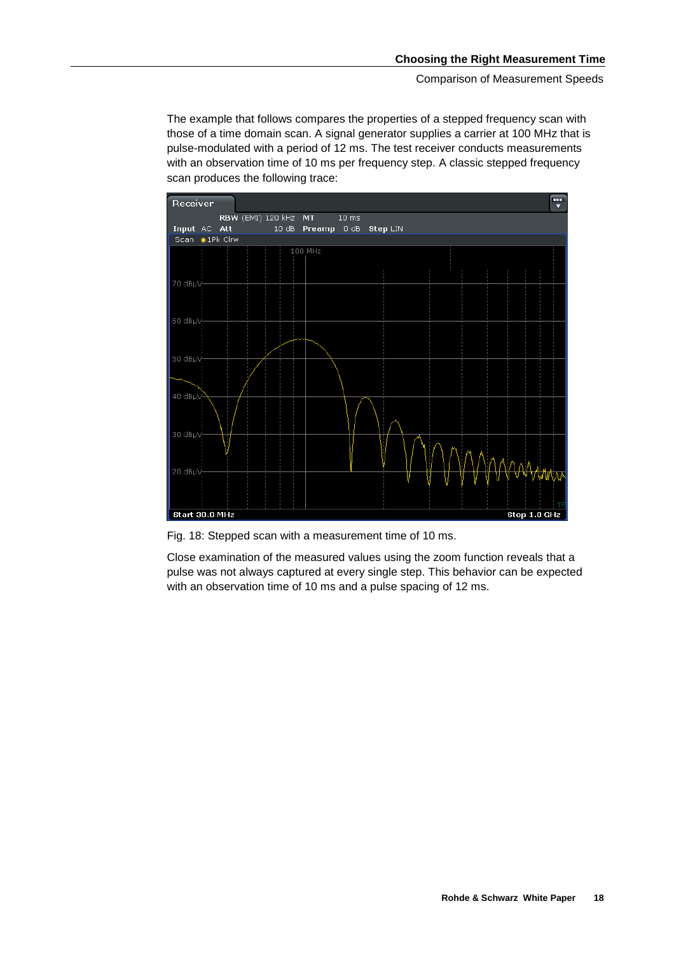The example that follows compares the properties of a stepped frequency scan with those of a time domain scan. A signal generator supplies a carrier at 100 MHz that is pulse-modulated with a period of 12 ms. The test receiver conducts measurements with an observation time of 10 ms per frequency step. A classic stepped frequency scan produces the following trace:



Fig. 18: Stepped scan with a measurement time of 10 ms.

Close examination of the measured values using the zoom function reveals that a pulse was not always captured at every single step. This behavior can be expected with an observation time of 10 ms and a pulse spacing of 12 ms.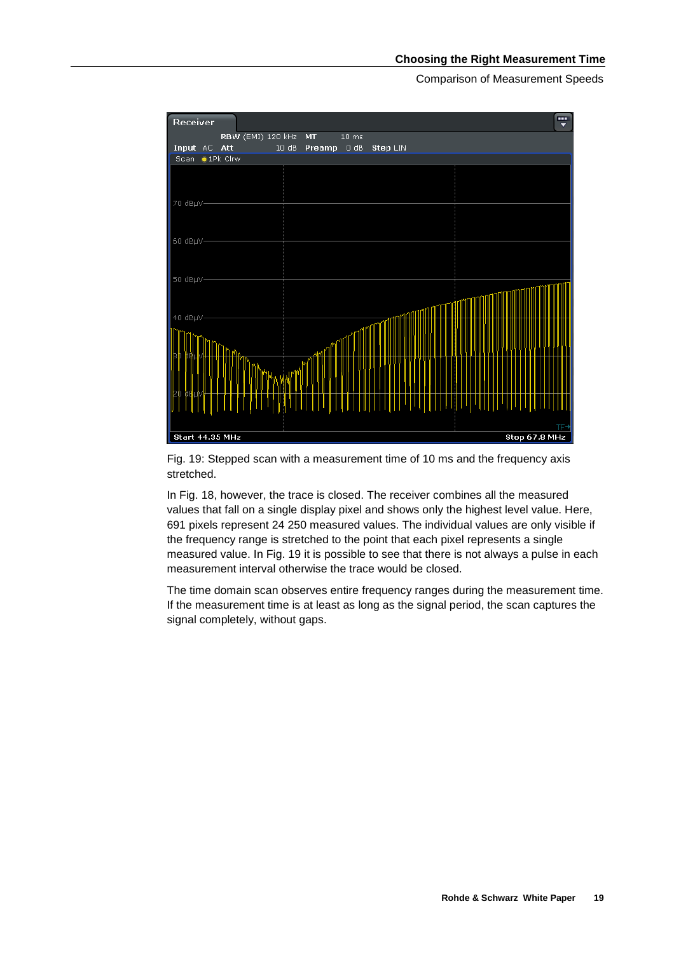

Fig. 19: Stepped scan with a measurement time of 10 ms and the frequency axis stretched.

In Fig. 18, however, the trace is closed. The receiver combines all the measured values that fall on a single display pixel and shows only the highest level value. Here, 691 pixels represent 24 250 measured values. The individual values are only visible if the frequency range is stretched to the point that each pixel represents a single measured value. In Fig. 19 it is possible to see that there is not always a pulse in each measurement interval otherwise the trace would be closed.

The time domain scan observes entire frequency ranges during the measurement time. If the measurement time is at least as long as the signal period, the scan captures the signal completely, without gaps.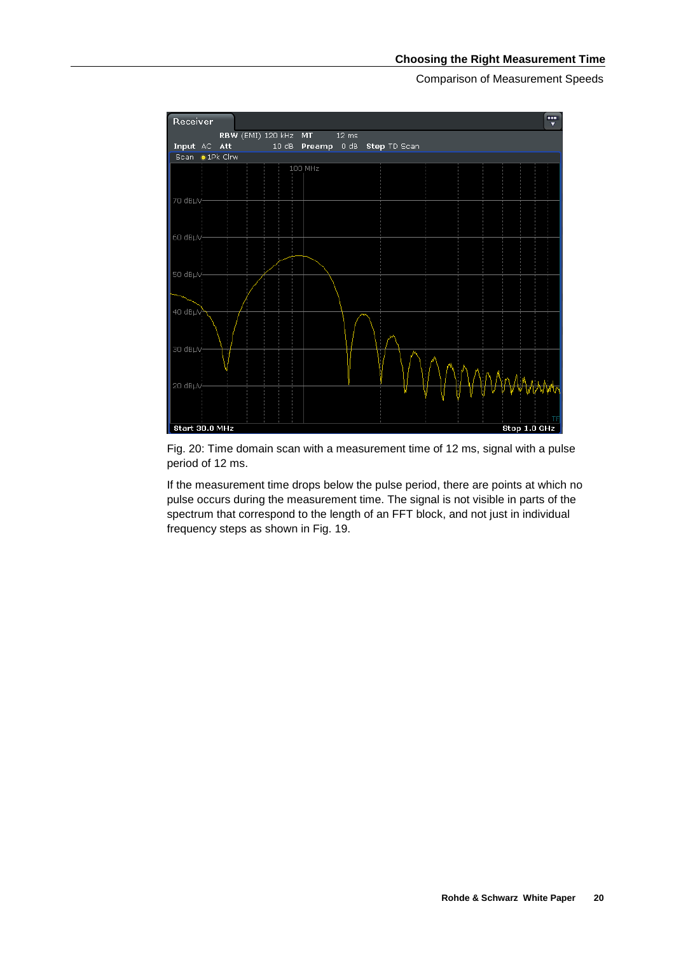

Fig. 20: Time domain scan with a measurement time of 12 ms, signal with a pulse period of 12 ms.

If the measurement time drops below the pulse period, there are points at which no pulse occurs during the measurement time. The signal is not visible in parts of the spectrum that correspond to the length of an FFT block, and not just in individual frequency steps as shown in Fig. 19.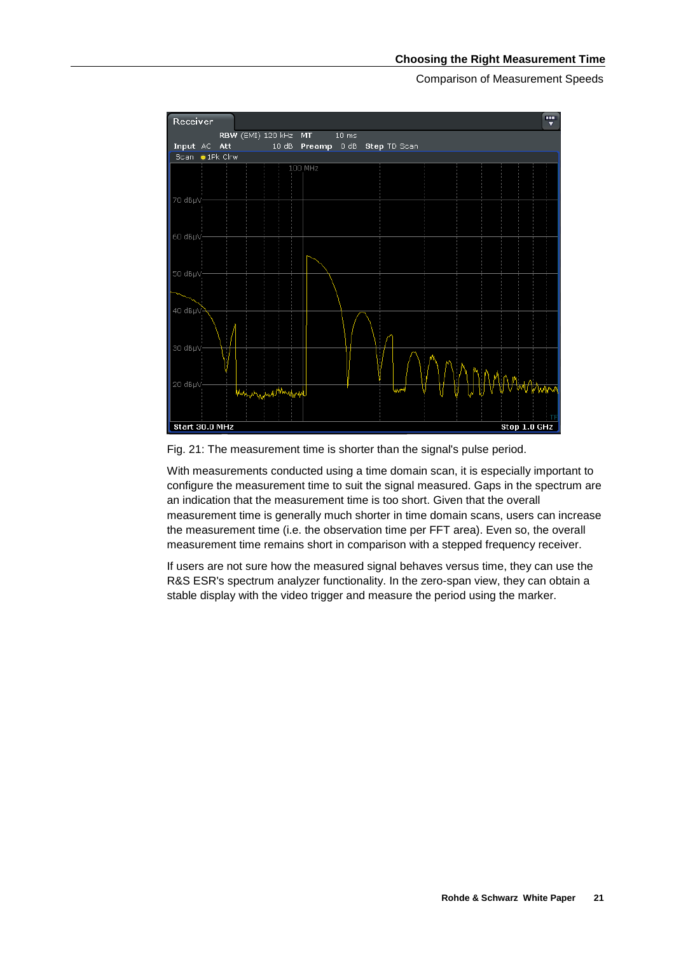

Fig. 21: The measurement time is shorter than the signal's pulse period.

With measurements conducted using a time domain scan, it is especially important to configure the measurement time to suit the signal measured. Gaps in the spectrum are an indication that the measurement time is too short. Given that the overall measurement time is generally much shorter in time domain scans, users can increase the measurement time (i.e. the observation time per FFT area). Even so, the overall measurement time remains short in comparison with a stepped frequency receiver.

If users are not sure how the measured signal behaves versus time, they can use the R&S ESR's spectrum analyzer functionality. In the zero-span view, they can obtain a stable display with the video trigger and measure the period using the marker.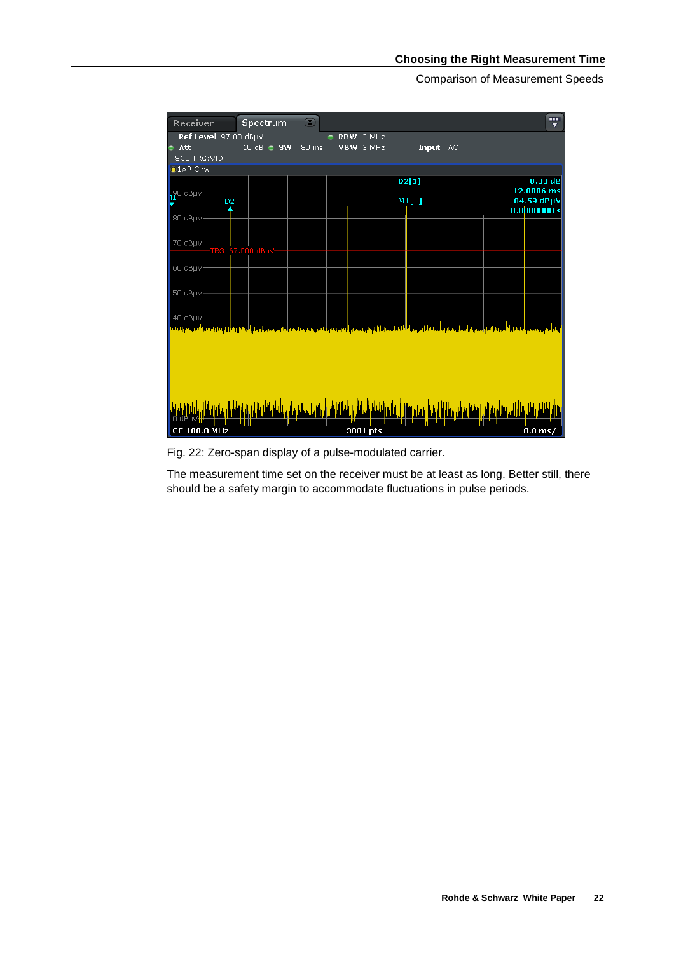

Fig. 22: Zero-span display of a pulse-modulated carrier.

The measurement time set on the receiver must be at least as long. Better still, there should be a safety margin to accommodate fluctuations in pulse periods.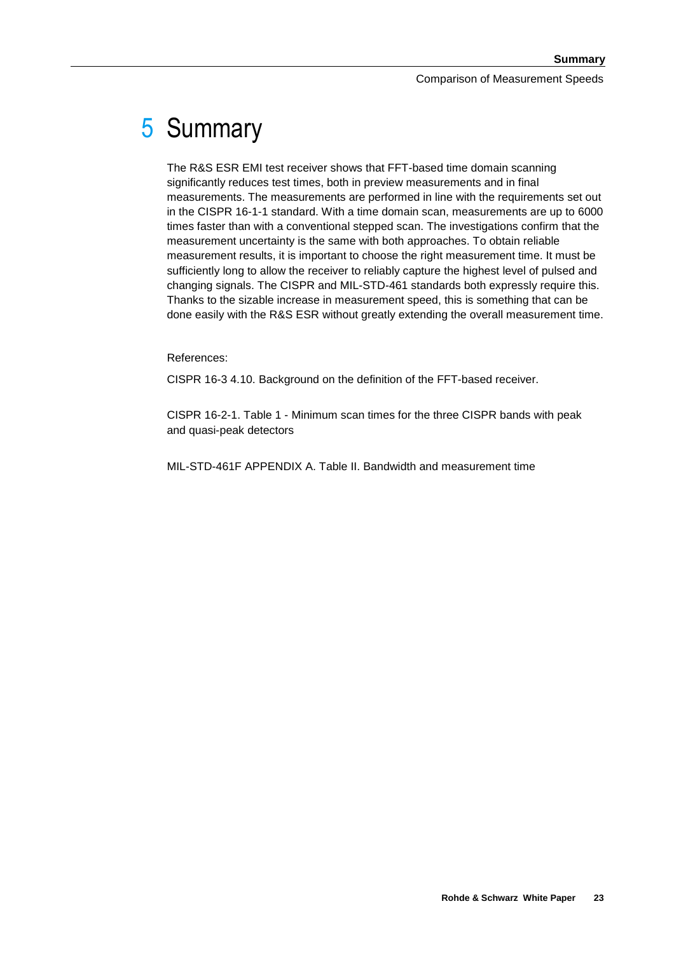# 5 Summary

The R&S ESR EMI test receiver shows that FFT-based time domain scanning significantly reduces test times, both in preview measurements and in final measurements. The measurements are performed in line with the requirements set out in the CISPR 16-1-1 standard. With a time domain scan, measurements are up to 6000 times faster than with a conventional stepped scan. The investigations confirm that the measurement uncertainty is the same with both approaches. To obtain reliable measurement results, it is important to choose the right measurement time. It must be sufficiently long to allow the receiver to reliably capture the highest level of pulsed and changing signals. The CISPR and MIL-STD-461 standards both expressly require this. Thanks to the sizable increase in measurement speed, this is something that can be done easily with the R&S ESR without greatly extending the overall measurement time.

#### References:

CISPR 16-3 4.10. Background on the definition of the FFT-based receiver.

CISPR 16-2-1. Table 1 - Minimum scan times for the three CISPR bands with peak and quasi-peak detectors

MIL-STD-461F APPENDIX A. Table II. Bandwidth and measurement time